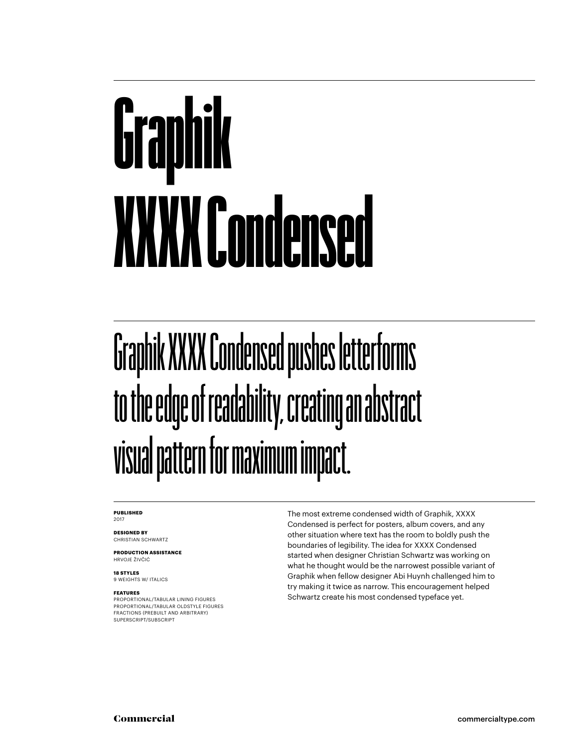## Graphik XXXX Condensed

#### Graphik XXXX Condensed pushes letterforms to the edge of readability, creating an abstract visual pattern for maximum impact.

#### **PUBLISHED** 2017

**DESIGNED BY** CHRISTIAN SCHWARTZ

**PRODUCTION ASSISTANCE** HRVOJE ŽIVČIĆ

**18 STYLES** 9 WEIGHTS W/ ITALICS

#### **FEATURES**

PROPORTIONAL/TABULAR LINING FIGURES PROPORTIONAL/TABULAR OLDSTYLE FIGURES FRACTIONS (PREBUILT AND ARBITRARY) SUPERSCRIPT/SUBSCRIPT

The most extreme condensed width of Graphik, XXXX Condensed is perfect for posters, album covers, and any other situation where text has the room to boldly push the boundaries of legibility. The idea for XXXX Condensed started when designer Christian Schwartz was working on what he thought would be the narrowest possible variant of Graphik when fellow designer Abi Huynh challenged him to try making it twice as narrow. This encouragement helped Schwartz create his most condensed typeface yet.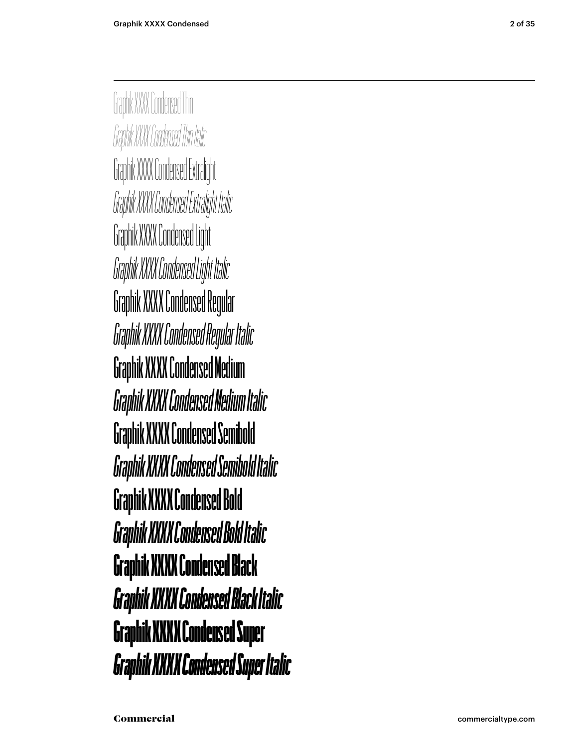Graphik XXXX Condensed Thin *Graphik XXXX Condensed Thin Italic* Graphik XXXX Condensed Extralight *Graphik XXXX Condensed Extralight Italic* Graphik XXXX Condensed Light *Graphik XXXX Condensed Light Italic* Graphik XXXX Condensed Regular *Graphik XXXX Condensed Regular Italic* Graphik XXXX Condensed Medium *Graphik XXXX Condensed Medium Italic* **Graphik XXXX Condensed Semibold** *Graphik XXXX Condensed Semibold Italic* **Graphik XXXX Condensed Bold** *Graphik XXXX Condensed Bold Italic* Graphik XXXX Condensed Black *Graphik XXXX Condensed Black Italic* Graphik XXXX Condensed Super *Graphik XXXX Condensed Super Italic*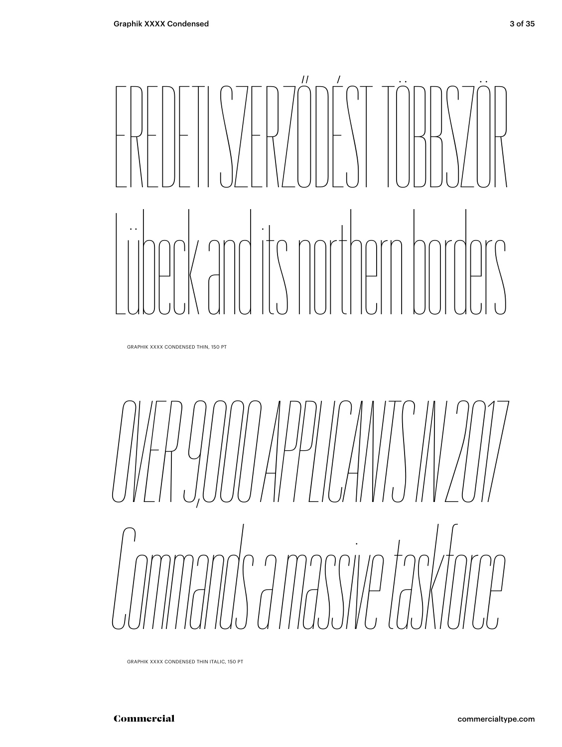# EREDETI SZERZŐDÉST TÖBBSZÖR Lübeck and its northern borders

GRAPHIK XXXX CONDENSED THIN, 150 PT

*OVER 9,000 APPLICANTS IN 2017 Commands a massive taskforce*

GRAPHIK XXXX CONDENSED THIN ITALIC, 150 PT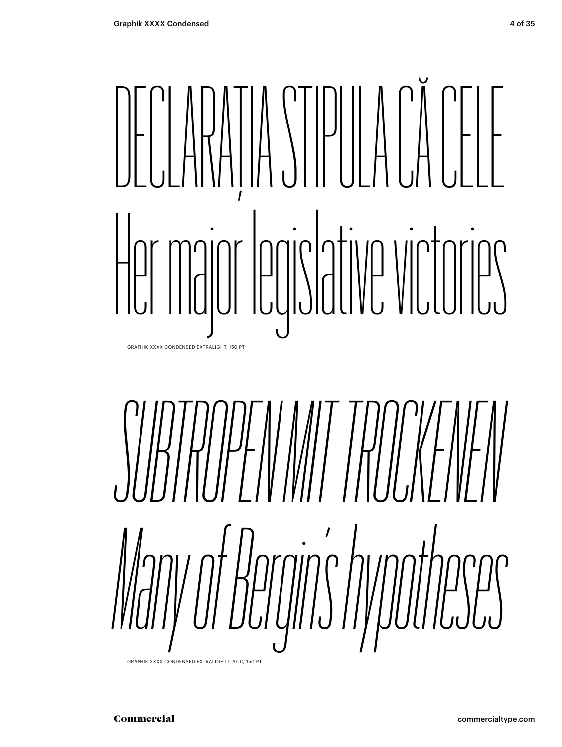# DECLARAȚIA STIPULA CĂ CELE Her major legislative victories

GRAPHIK XXXX CONDENSED EXTRALIGHT, 150 PT



GRAPHIK XXXX CONDENSED EXTRALIGHT ITALIC, 150 PT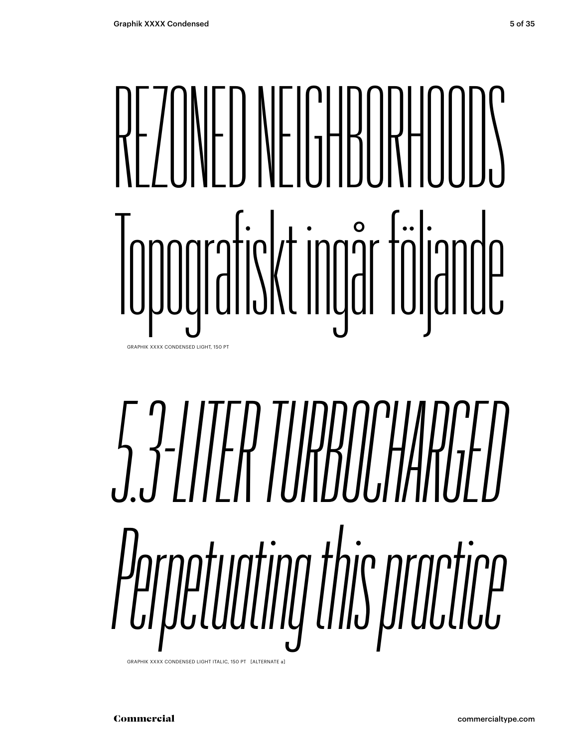# REZONED NEIGHBORHOODS Topografiskt ingår följande

GRAPHIK XXXX CONDENSED LIGHT, 150 PT

# *5.3-LITER TURBOCHARGED Perpetuating this practice*

GRAPHIK XXXX CONDENSED LIGHT ITALIC, 150 PT [ALTERNATE a]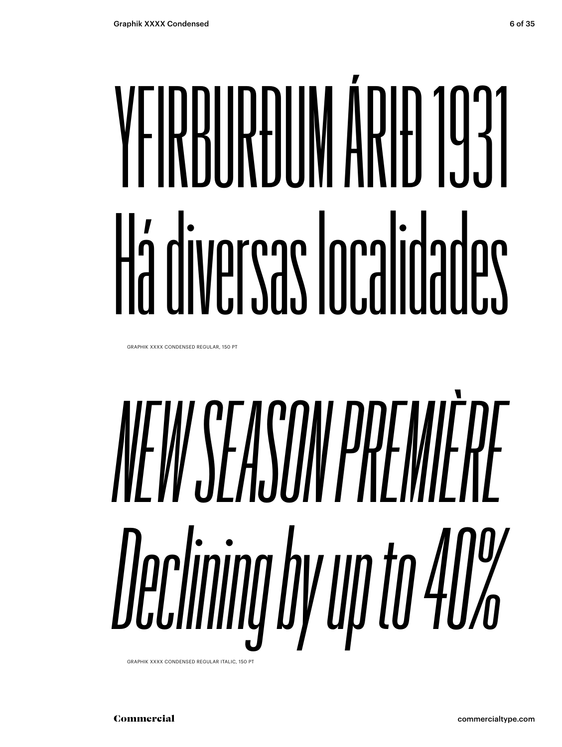# YEIRRIIREIIM ÁRIEL 1931 Há diversas Ionalidades

GRAPHIK XXXX CONDENSED REGULAR, 150 PT

# NEW SEASON PREMIÈRE Declining by up to 40%

GRAPHIK XXXX CONDENSED REGULAR ITALIC, 150 PT

Commercial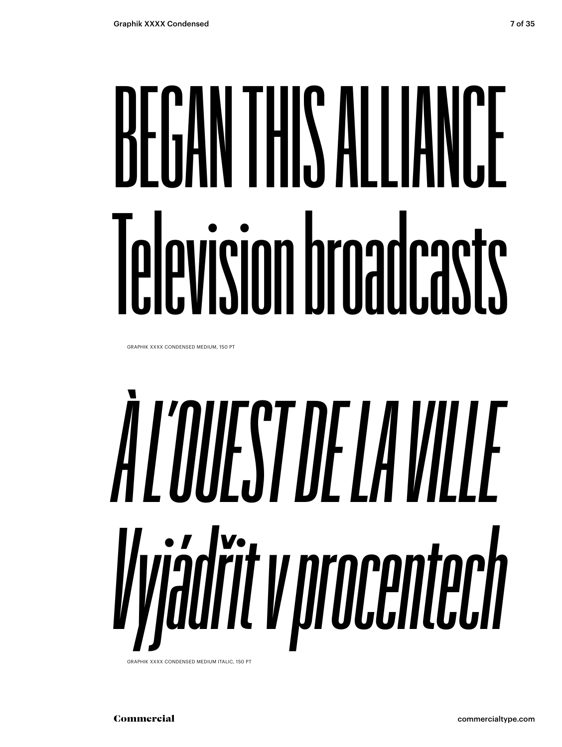## BEGAN THIS ALLIANCE Television broadcasts

GRAPHIK XXXX CONDENSED MEDIUM, 150 PT

# ALOUESTOEIAVIIIF Vyádřit v procentech

GRAPHIK XXXX CONDENSED MEDIUM ITALIC. 150 PT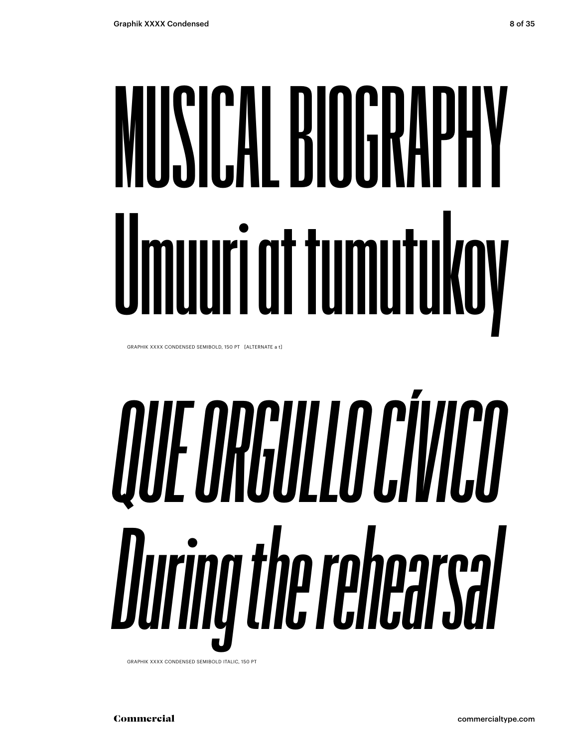## MUSICAL BIOGRAPHY Umuuri at tumutukoy

GRAPHIK XXXX CONDENSED SEMIBOLD, 150 PT [ALTERNATE a t]

# **OUL ORGULLO CÍVICO** During the rehearcal

GRAPHIK XXXX CONDENSED SEMIBOLD ITALIC, 150 PT

Commercial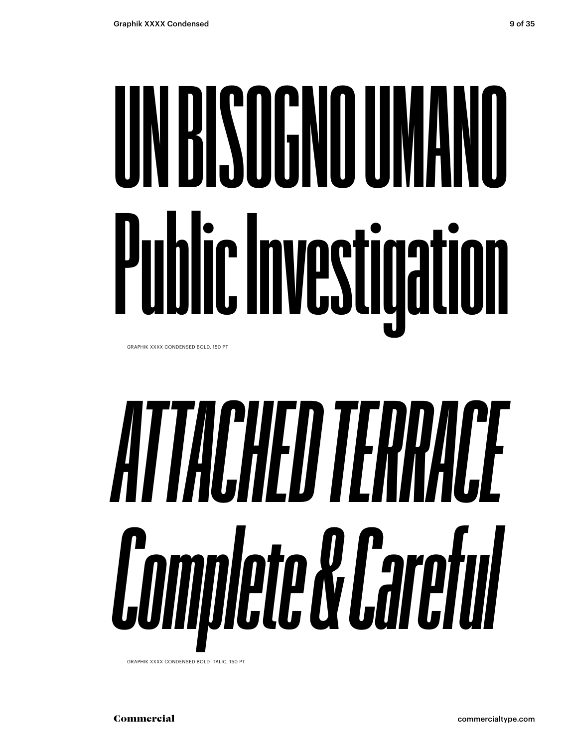# **UN BISOGNO UMANO Public Investigation**

GRAPHIK XXXX CONDENSED BOLD, 150 PT

# *ATTACHED TERRACE Complete & Careful*

GRAPHIK XXXX CONDENSED BOLD ITALIC, 150 PT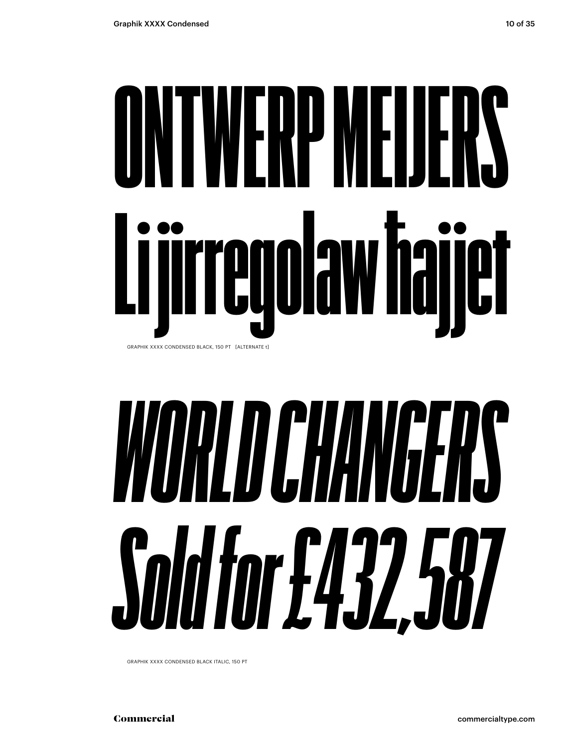### ONTWERP MEIJERS Li jirregolaw ħajjet GRAPHIK XXXX CONDENSED BLACK, 150 PT [ALTERNATE t]

## *WORLD CHANGERS Sold for £432,587*

GRAPHIK XXXX CONDENSED BLACK ITALIC, 150 PT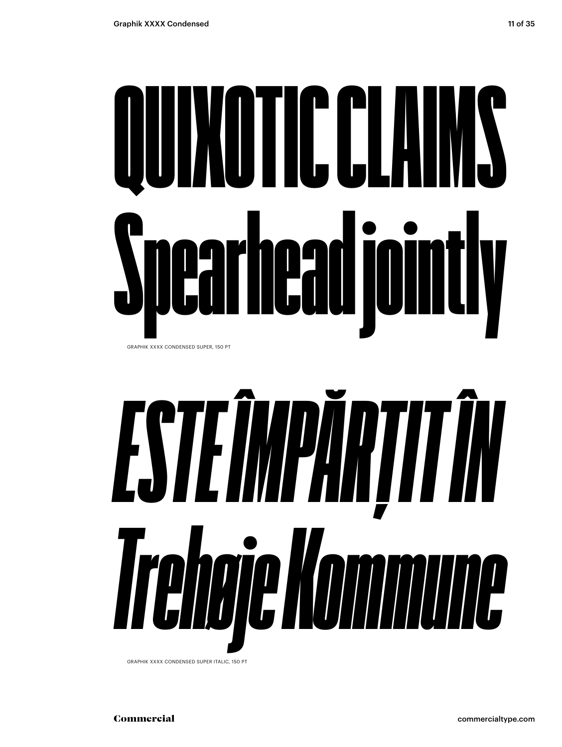# QUIXOTIC CLAIMS Spearhead jointly

GRAPHIK XXXX CONDENSED SUPER, 150 PT



GRAPHIK XXXX CONDENSED SUPER ITALIC, 150 PT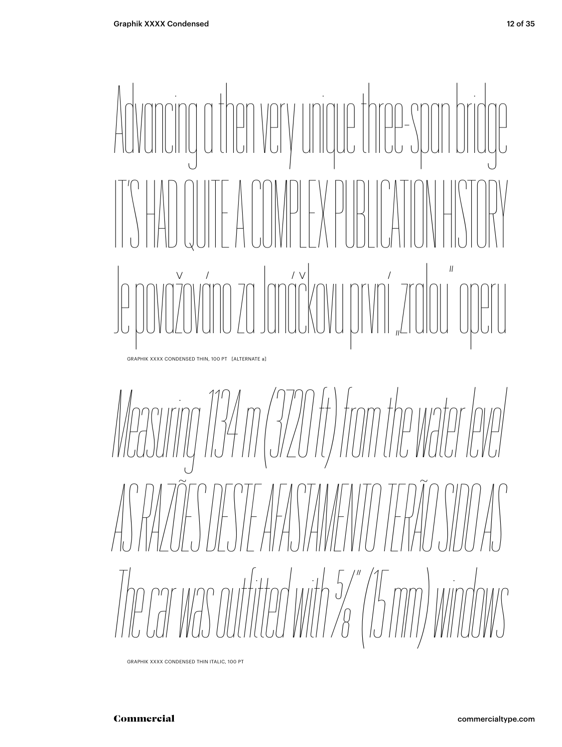

GRAPHIK XXXX CONDENSED THIN, 100 PT [ALTERNATE a]

*Measuring 134 m (3720 ft) from the water level AS RAZÕES DESTE AFASTAMENTO TERÃO SIDO AS The car was outfited with 5/8" (15 mm) windows*

GRAPHIK XXXX CONDENSED THIN ITALIC, 100 PT

#### Commercial commercialtype.com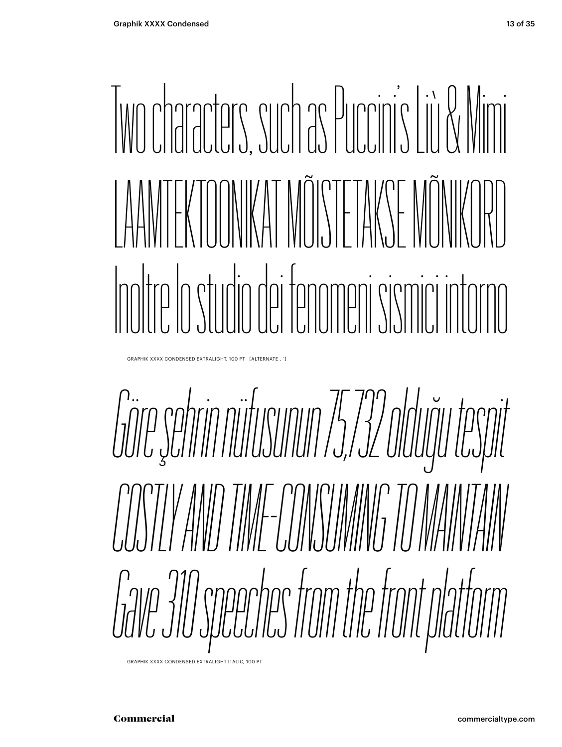### Two characters, such as Puccini's Liù & Mimi LAAMTEKTOONIKAT MÕISTETAKSE MÕNIKORD Inoltre lo studio dei fenomeni sismici intorno

GRAPHIK XXXX CONDENSED EXTRALIGHT, 100 PT [ALTERNATE , ' ]

*Göre şehrin nüfusunun 75,732 olduğu tespit COSTLY AND TIME-CONSUMING TO MAINTAIN Gave 310 speeches from the front platform*

GRAPHIK XXXX CONDENSED EXTRALIGHT ITALIC, 100 PT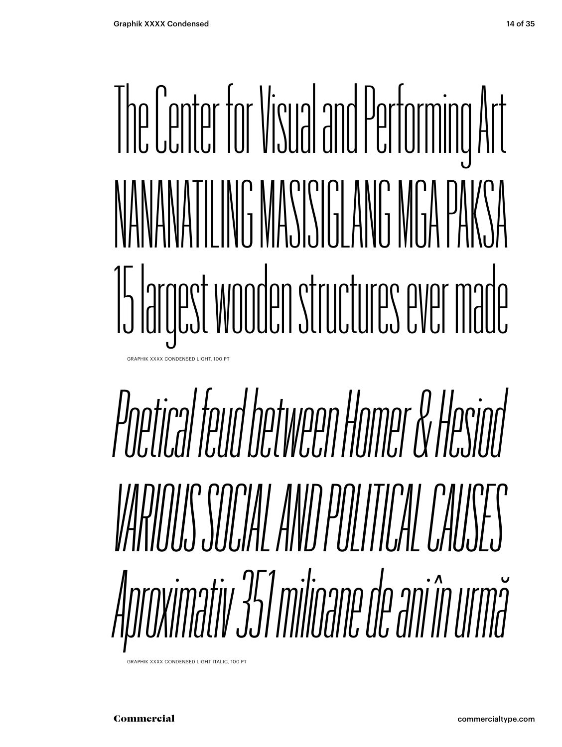### The Center for Visual and Performing Art NANANATILING MASISIGLANG MGA PAKSA 15 largest wooden structures ever made GRAPHIK XXXX CONDENSED LIGHT, 100 PT

## *Poetical feud between Homer & Hesiod VARIOUS SOCIAL AND POLITICAL CAUSES Aproximativ 351 milioane de ani în urmă*

GRAPHIK XXXX CONDENSED LIGHT ITALIC, 100 PT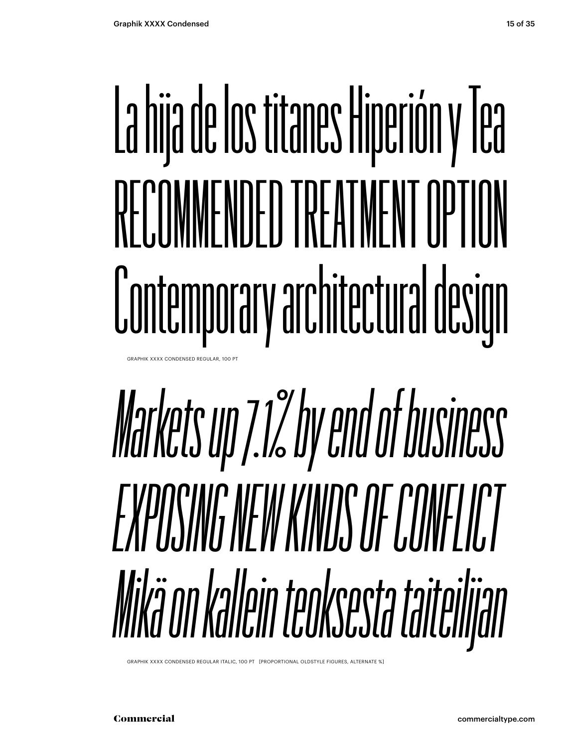## La hija de los titanes Hiperión y Tea RECOMMENDED TREATMENT OPTION Contemporary architectural design

**GRAPHIK XXXX CONDENSED REGULAR, 100 PT** 

### *Markets up 7.1% by end of business EXPOSING NEW KINDS OF CONFLICT Mikä on kallein teoksesta taiteilijan*

GRAPHIK XXXX CONDENSED REGULAR ITALIC, 100 PT [PROPORTIONAL OLDSTYLE FIGURES, ALTERNATE %]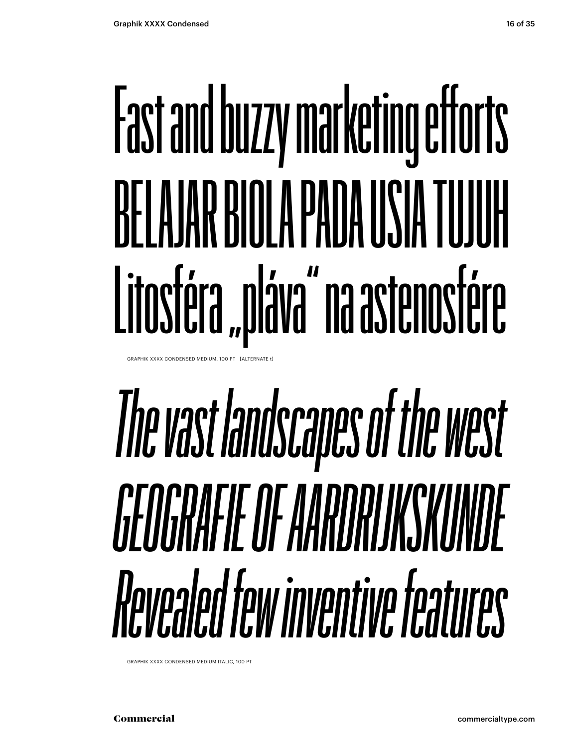## **Fast and buzzy marketing efforts** REI A IAR RINI A PANA IISIA TUJUH Litosféra "pláva" na astenosfére

GRAPHIK XXXX CONDENSED MEDIUM, 100 PT [ALTERNATE t]

### The vast landscapes of the west CEOCRAFIE OF AARDRIJKSKIINDE Revealed few inventive features

GRAPHIK XXXX CONDENSED MEDIUM ITALIC, 100 PT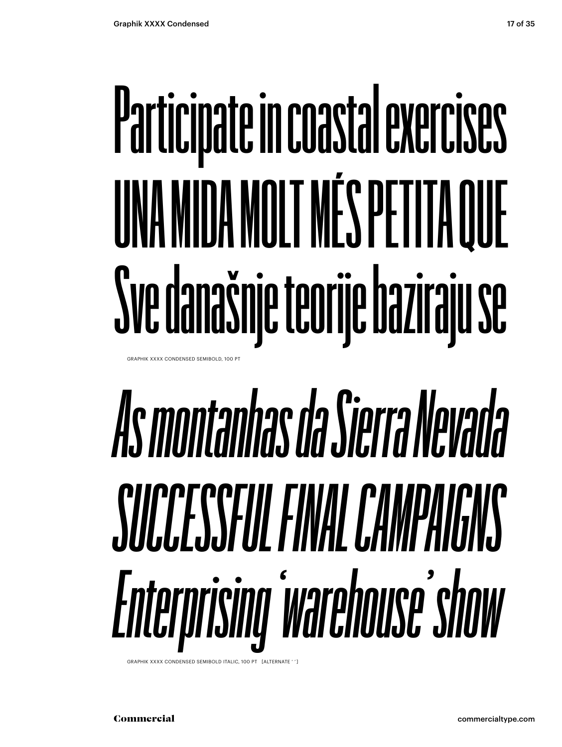## **Participate in coastal exercises UNA MIDA MOLT MÉS PETITA QUE Sve današnje teorije baziraju se**

GRAPHIK XXXX CONDENSED SEMIBOLD, 100 PT

## *As montanhas da Sierra Nevada SUCCESSFUL FINAL CAMPAIGNS Enterprising 'warehouse' show*

GRAPHIK XXXX CONDENSED SEMIBOLD ITALIC, 100 PT [ALTERNATE ' '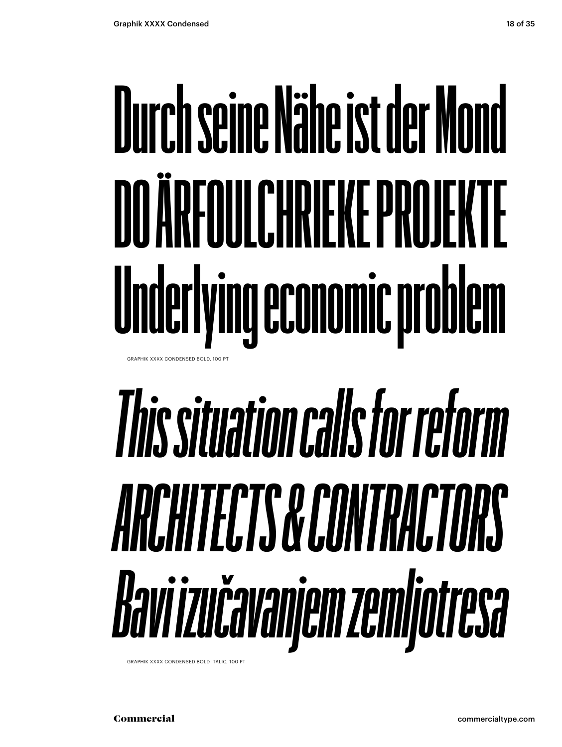### **Durch seine Nähe ist der Mond DO ARFOULCHRIFKE PROJEKTE Underlying economic problem** GRAPHIK XXXX CONDENSED BOLD, 100 PT

## *This situation calls for reform ARCHITECTS & CONTRACTORS Bavi izučavanjem zemljotresa*

GRAPHIK XXXX CONDENSED BOLD ITALIC, 100 PT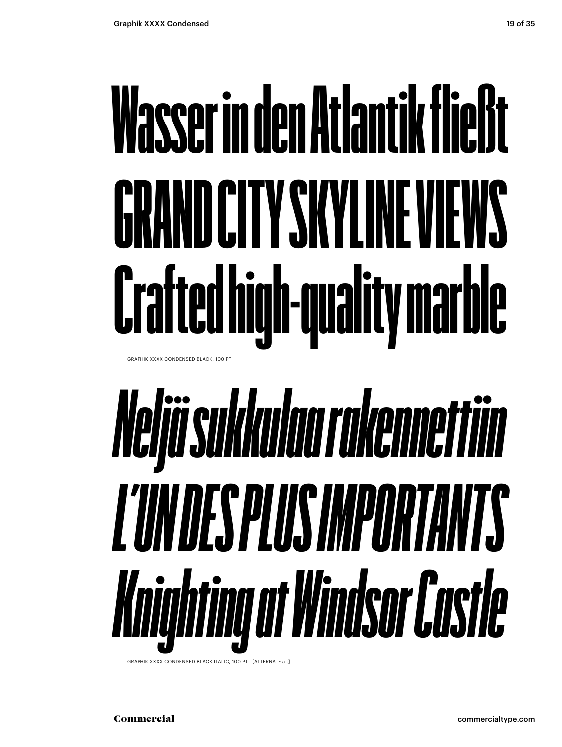## Wasser in den Atlantik fließt GRAND CITY SKYLINE VIEWS Crafted high-quality marble

GRAPHIK XXXX CONDENSED BLACK, 100 PT

## Neljä sukkulaa rakennettiin L'UNDES PLUS IMPORTANTS Knighting at Windsor Castle

GRAPHIK XXXX CONDENSED BLACK ITALIC, 100 PT [ALTERNATE a t]

Commercial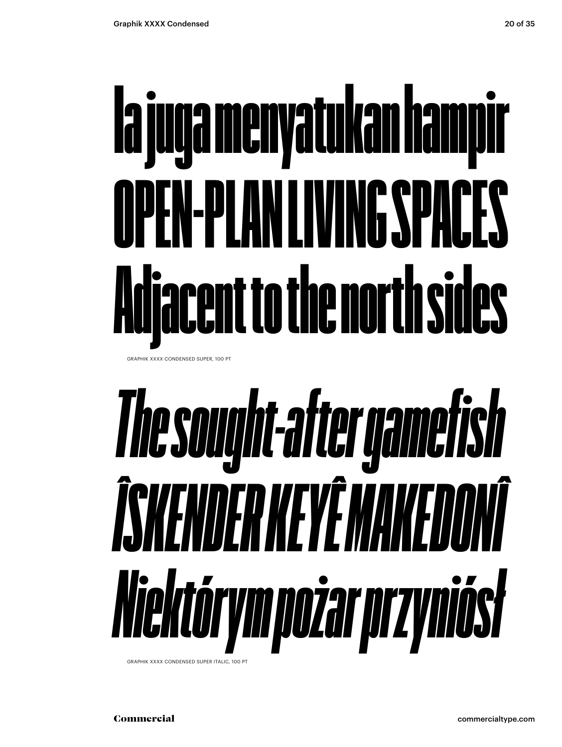## Ia juga menyatukan hampir OPEN-PLAN LIVING SPACES Adjacent to the north sides

GRAPHIK XXXX CONDENSED SUPER, 100 PT

## *The sought-after gamefish ÎSKENDER KEYÊ MAKEDONÎ Niektórym pożar przyniósł*

GRAPHIK XXXX CONDENSED SUPER ITALIC, 100 PT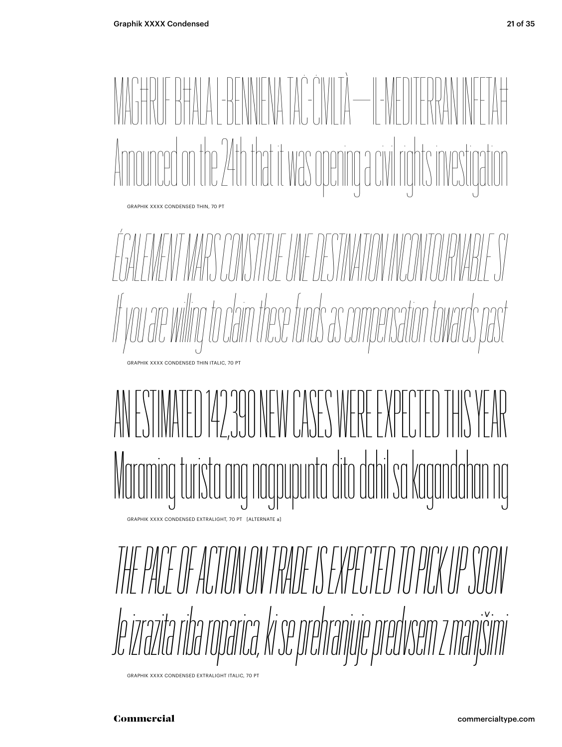

GRAPHIK XXXX CONDENSED EXTRALIGHT ITALIC, 70 PT

Commercial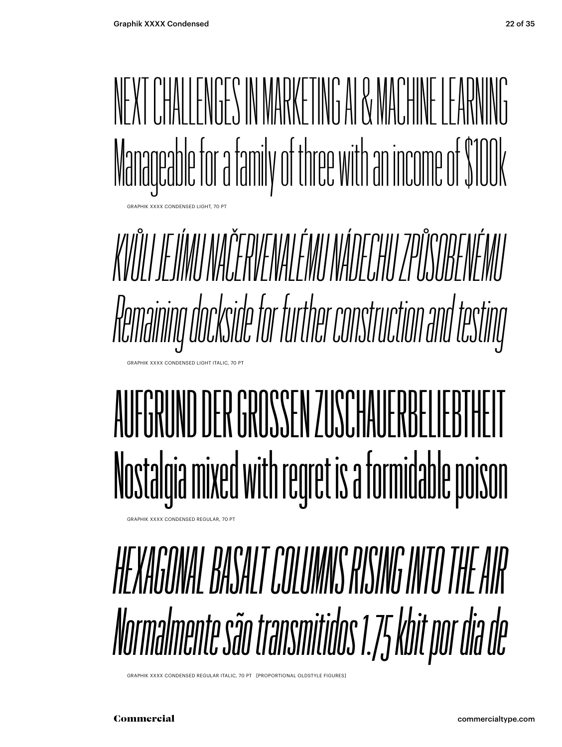

*KVŮLI JEJÍMU NAČERVENALÉMU NÁDECHU ZPŮSOBENÉMU Remaining dockside for further construction and testing*

### AUFGRUND DER GROSSEN ZUSCHAUFRBELIEBTH Nostalgia mixed with regret is a formidable poison

GRAPHIK XXXX CONDENSED REGULAR, 70 PT

GRAPHIK XXXX CONDENSED LIGHT ITALIC, 70 PT

#### *HEXAGONAL BASALT COLUMNS RISING INTO THE AIR Normalmente são transmitidos 1.75 kbit por dia de*

GRAPHIK XXXX CONDENSED REGULAR ITALIC, 70 PT [PROPORTIONAL OLDSTYLE FIGURES]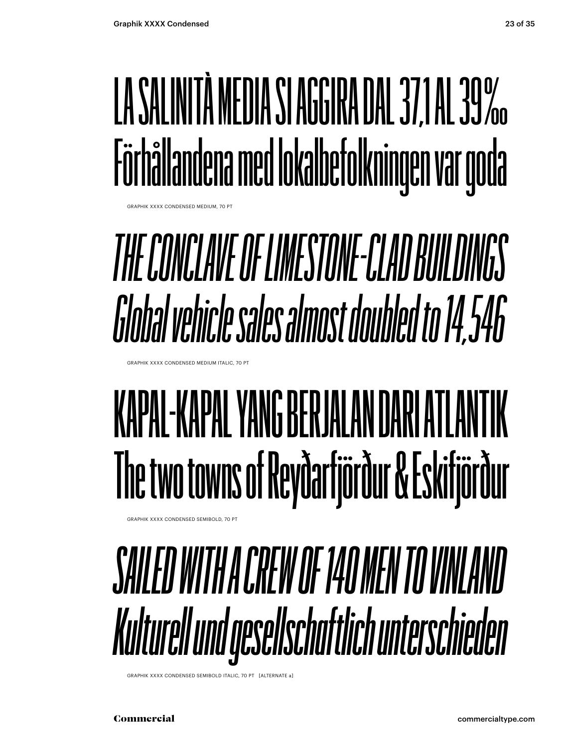### LA SALINITÀ MEDIA SI AGGIRA DAL 37,1 AL 39 ‰ Förhållandena med lokalbefolkningen var goda

**GRAPHIK XXXX CONDENSED MEDIUM, 70 PT** 

### *THE CONCLAVE OF LIMESTONE-CLAD BUILDINGS Global vehicle sales almost doubled to 14,546*

GRAPHIK XXXX CONDENSED MEDIUM ITALIC, 70 PT

### **KAPAL-KAPAL YANG BERJALAN DARI ATLANTIK The two towns of Reyðarfjörður & Eskifjörður**

GRAPHIK XXXX CONDENSED SEMIBOLD, 70 PT



GRAPHIK XXXX CONDENSED SEMIBOLD ITALIC, 70 PT [ALTERNATE a]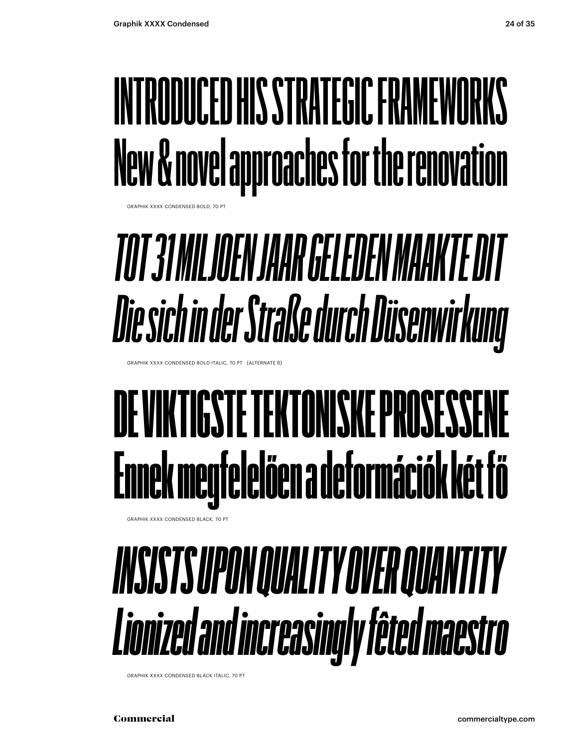### INTRODUCED HIS STRATEGIC FRAMEWORKS New & novel approaches for the renovation

GRAPHIK XXXX CONDENSED BOLD, 70 P

### TOT 31 MILJOEN JAAR GELEDEN MAAKTE DIT Die sich in der Straße durch Düsenwirkung

GRAPHIK XXXX CONDENSED BOLD ITALIC, 70 PT [ALTERNATE B]

### DE VIKTIGSTE TEKTONISKE PROSESSEN Ennek megfelelően a deformációk két fő

GRAPHIK XXXX CONDENSED BLACK 70 PT

### **INSISTS UPON QUALITY OVER QUANTITY** Lionized and increasingly fêted maestro

GRAPHIK XXXX CONDENSED BLACK ITALIC, 70 PT

Commercial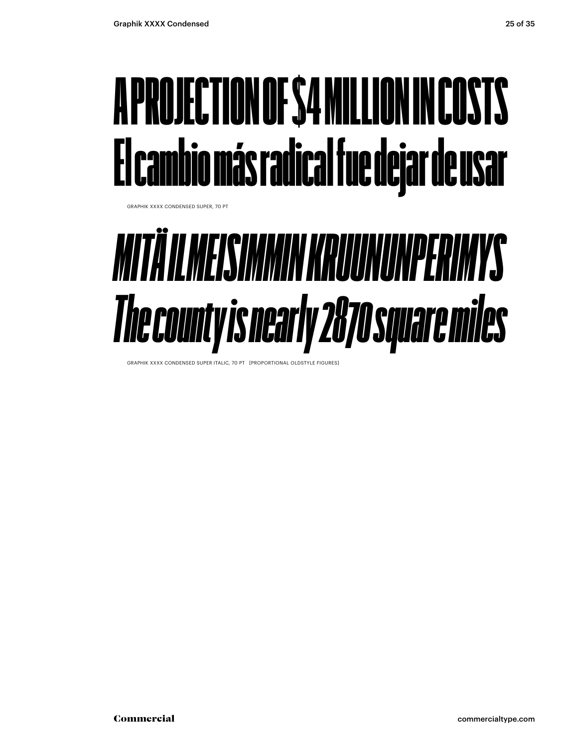#### A PROJECTION OF \$4 MILLION IN COSTS El cambio más radical fue dejar de usar

GRAPHIK XXXX CONDENSED SUPER, 70 PT

### *MITÄ ILMEISIMMIN KRUUNUNPERIMYS The county is nearly 2870 square miles*

GRAPHIK XXXX CONDENSED SUPER ITALIC, 70 PT [PROPORTIONAL OLDSTYLE FIGURES]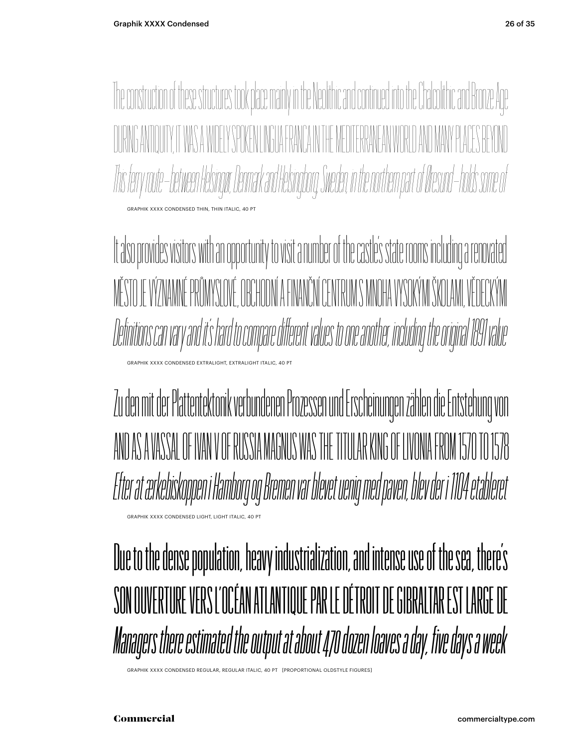The construction of these structures took place mainly in the Neolithic and continued into the Chalcolithic and Bronze Age  $\begin{CD} \mathbb{E}\left\{ \left\Vert \mathbf{u}\right\Vert \mathbf{u}\right\Vert \leq\mathbb{E}\left\{ \mathbf{u}\right\} \mathbb{E}\left\{ \mathbf{u}\right\} \end{CD}$ *This ferry route – between Helsingør, Denmark and Helsingborg, Sweden, in the northern part of Øresund – holds some of* GRAPHIK XXXX CONDENSED THIN, THIN ITALIC, 40 PT

It also provides visitors with an opportunity to visit a number of the castle's state rooms including a renovated MĚSTO JE VÝZNAMNÉ PRŮMYSLOVÉ, OBCHODNÍ A FINANČNÍ CENTRUM S MNOHA VYSOKÝMI ŠKOLAMI, VĚDECKÝMI *Definitions can vary and it's hard to compare different values to one another, including the original 1891 value* XXXX CONDENSED EXTRALIGHT, EXTRALIGHT ITALIC, 40

Zu den mit der Plattentektonik verbundenen Prozessen und Erscheinungen zählen die Entstehung von AND AS A VASSAL OF IVAN V OF RUSSIA MAGNUS WAS THE TITULAR KING OF LIVONIA FROM 1570 TO 1578 *Efter at ærkebiskoppen i Hamborg og Bremen var blevet uenig med paven, blev der i 1104 etableret* GRAPHIK XXXX CONDENSED LIGHT, LIGHT ITALIC, 40 PT

Due to the dense population, heavy industrialization, and intense use of the sea, there's SON OUVERTURE VERS L'OCÉAN ATLANTIQUE PAR LE DÉTROIT DE GIBRALTAR EST LARGE DE *Managers there estimated the output at about 470 dozen loaves a day, five days a week*

GRAPHIK XXXX CONDENSED REGULAR, REGULAR ITALIC, 40 PT [PROPORTIONAL OLDSTYLE FIGURES]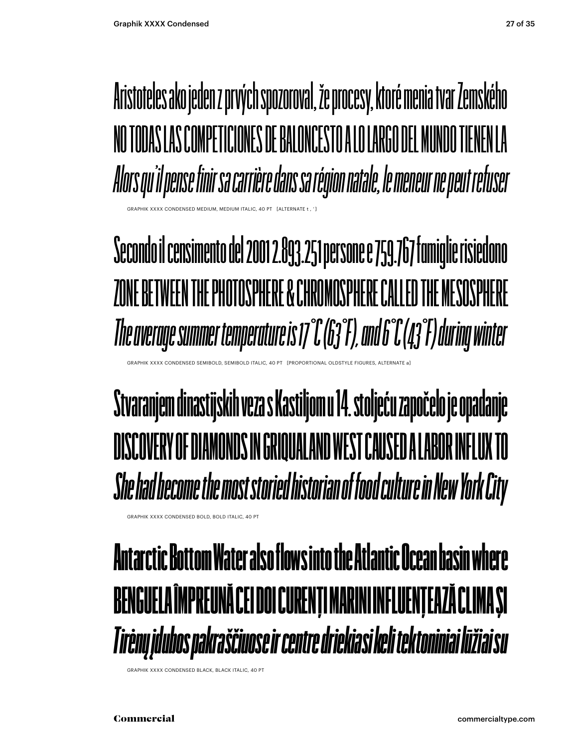Aristoteles ako jeden z prvých spozoroval, že procesy, ktoré menia tvar Zemského NO TODAS LAS COMPETICIONES DE BALONCESTO A LO LARGO DEL MUNDO TIENEN LA *Alors qu'il pense finir sa carrière dans sa région natale, le meneur ne peut refuser* 

**Secondo il censimento del 2001 2.893.251 persone e 759.767 famiglie risiedono ZONE BETWEEN THE PHOTOSPHERE & CHROMOSPHERE CALLED THE MESOSPHERE** *The average summer temperature is 17°C (63°F), and 6°C (43°F) during winter*

PHIK XXXX CONDENSED SEMIBOLD, SEMIBOLD ITALIC, 40 PT [PROPORTIONAL OLDSTYLE FIGURES, ALTERNATI

#### **Stvaranjem dinastijskih veza s Kastiljom u 14. stoljeću započelo je opadanje DISCOVERY OF DIAMONDS IN GRIQUALAND WEST CAUSED A LABOR INFLUX TO**  *She had become the most storied historian of food culture in New York City*

GRAPHIK XXXX CONDENSED BOLD, BOLD ITALIC, 40 PT

HIK XXXX CONDENSED MEDIUM, MEDIUM

#### Antarctic Bottom Water also flows into the Atlantic Ocean basin where BENGUELA ÎMPREUNĂ CEI DOI CURENȚI MARINI INFLUENȚEAZĂ CLIMA ȘI *Tirėnų įdubos pakraščiuose ir centre driekiasi keli tektoniniai lūžiai su*

GRAPHIK XXXX CONDENSED BLACK, BLACK ITALIC, 40 PT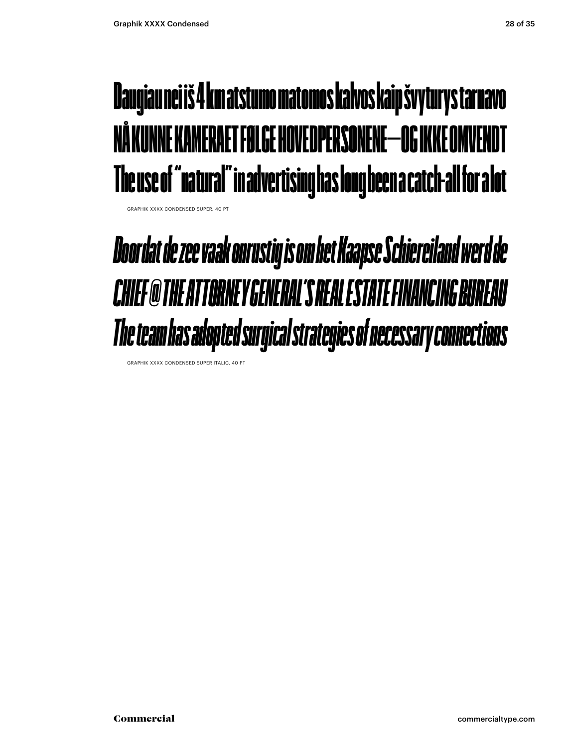#### Daugiau nei iš 4 km atstumo matomos kalvos kaip švyturys tarnavo NÅ KUNNE KAMERAET FØLGE HOVEDPERSONENE—OG IKKE OMVENDT The use of "natural" in advertising has long been a catch-all for a lot

GRAPHIK XXXX CONDENSED SUPER, 40 PT

#### *Doordat de zee vaak onrustig is om het Kaapse Schiereiland werd de CHIEF @ THE ATTORNEY GENERAL'S REAL ESTATE FINANCING BUREAU The team has adopted surgical strategies of necessary connections*

GRAPHIK XXXX CONDENSED SUPER ITALIC, 40 PT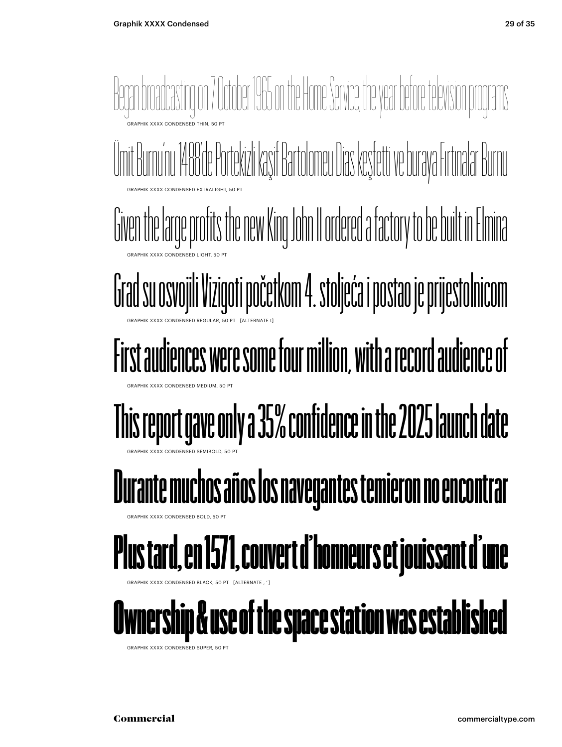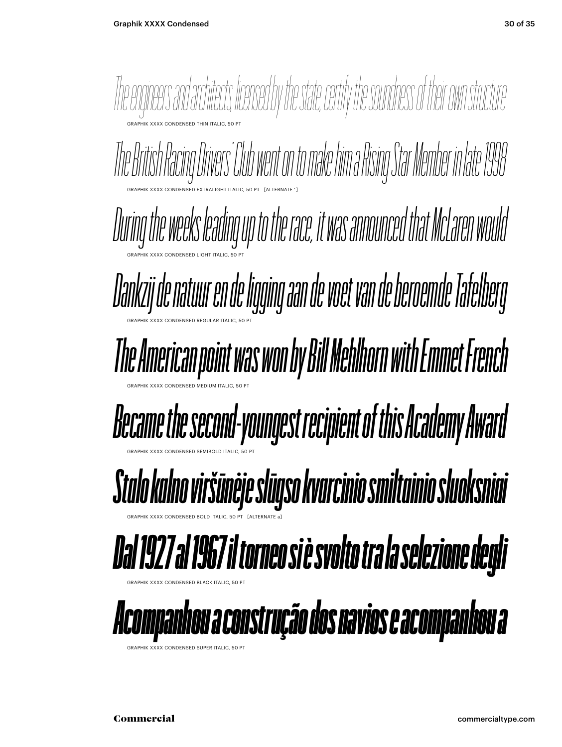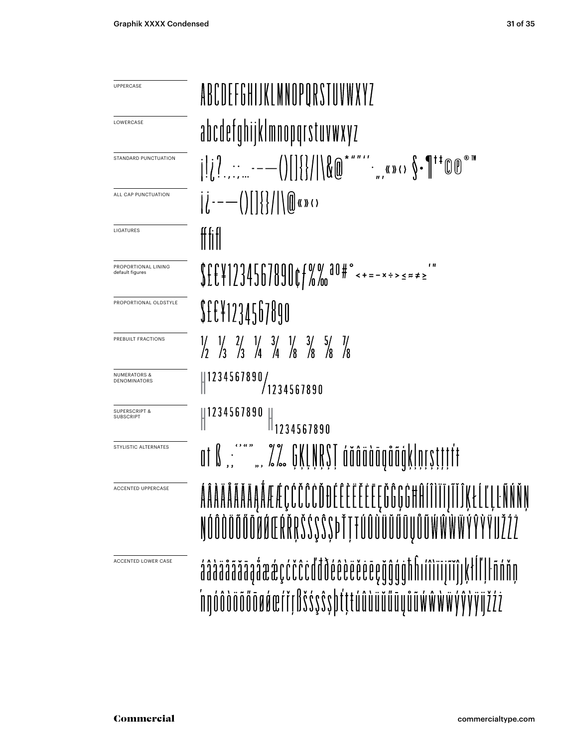| UPPERCASE                                    | ABCDEFGHIJKLMNOPORSTUVWXYZ                                                                                                                                                                                                                                                                                                                                                                                 |
|----------------------------------------------|------------------------------------------------------------------------------------------------------------------------------------------------------------------------------------------------------------------------------------------------------------------------------------------------------------------------------------------------------------------------------------------------------------|
|                                              |                                                                                                                                                                                                                                                                                                                                                                                                            |
| LOWERCASE                                    | abcdefqhijklmnopqrstuvwxyz                                                                                                                                                                                                                                                                                                                                                                                 |
| STANDARD PUNCTUATION                         | $\text{argmin}_{\mathbf{y}}\left\{\min_{\mathbf{y}}\left\{\mathbf{y}_{\mathbf{y}}\right\}\right\}=\max_{\mathbf{y}}\left\{\min_{\mathbf{y}}\left\{\mathbf{y}_{\mathbf{y}}\right\}\right\}=\max_{\mathbf{y}}\left\{\min_{\mathbf{y}}\left\{\mathbf{y}_{\mathbf{y}}\right\}\right\}=\max_{\mathbf{y}}\left\{\min_{\mathbf{y}}\left\{\mathbf{y}_{\mathbf{y}}\right\}\right\}$                                 |
| ALL CAP PUNCTUATION                          | $   $ - - - () $   $ { /   \ (0) ((8) (1)                                                                                                                                                                                                                                                                                                                                                                  |
| LIGATURES                                    | #fifl                                                                                                                                                                                                                                                                                                                                                                                                      |
| PROPORTIONAL LINING<br>default figures       | $\label{eq:21} $$ \f{f}{12345678900} $$$                                                                                                                                                                                                                                                                                                                                                                   |
| PROPORTIONAL OLDSTYLE                        | SEE¥1234567890                                                                                                                                                                                                                                                                                                                                                                                             |
| PREBUILT FRACTIONS                           | $\begin{array}{ccccc} \frac{1}{2} & \frac{1}{2} & \frac{1}{2} & \frac{1}{2} & \frac{1}{2} & \frac{1}{2} & \frac{1}{2} & \frac{1}{2} & \frac{1}{2} & \frac{1}{2} & \frac{1}{2} & \frac{1}{2} & \frac{1}{2} & \frac{1}{2} & \frac{1}{2} & \frac{1}{2} & \frac{1}{2} & \frac{1}{2} & \frac{1}{2} & \frac{1}{2} & \frac{1}{2} & \frac{1}{2} & \frac{1}{2} & \frac{1}{2} & \frac{1}{2} & \frac{1}{2} & \frac{1$ |
| <b>NUMERATORS &amp;</b><br>DENOMINATORS      | $\parallel$ 1234567890/<br>/1234567890                                                                                                                                                                                                                                                                                                                                                                     |
| <b>SUPERSCRIPT &amp;</b><br><b>SUBSCRIPT</b> | 1234567890<br>$\mathbb{I}_{1234567890}$                                                                                                                                                                                                                                                                                                                                                                    |
| STYLISTIC ALTERNATES                         | $\text{and}\ \mathbb{S}^m\,,\ \mathbb{S}^m\,,\ \mathbb{S}^m\,,\ \mathbb{S}^m\,,\ \mathbb{S}^m\,,\ \mathbb{S}^m\,,\ \mathbb{S}^m\,,\ \mathbb{S}^m\,,\ \mathbb{S}^m\,,\ \mathbb{S}^m\,,\ \mathbb{S}^m\,,\ \mathbb{S}^m\,,\ \mathbb{S}^m\,,\ \mathbb{S}^m\,,\ \mathbb{S}^m\,,\ \mathbb{S}^m\,,\ \mathbb{S}^m\,,\ \mathbb{S}^m\,,\ \mathbb{S}^m\,,\ \mathbb{S}$                                                |
| <b>ACCENTED UPPERCASE</b>                    | ÁÂAÄÄÄÄÄĀĀA ÁF ÉÇČČČŎDEEEEEEEE ČĜÇĠĦÛÍÎÌĨĨĨĨĴĶŁĹĽĻĿÑŃŇŅ<br>ŊÓÔŎŎŎŎŎŎŔŒŔŘŖŠŚŞŜŞÞŤŢŦÚÛÙŨŬŰŨŲŮŨŴŴŴŴŶŶŶŸIJŽŹŻ                                                                                                                                                                                                                                                                                                  |
| <b>ACCENTED LOWER CASE</b>                   | áâàääääääåäææçćčĉċďđðéêèëĕëēeğĝģġħĥıíîìiījĩĭĵıķłĺľļŀñńňņ<br>nnó ô dö ö ö ö v á veri r fl š ś ş ŝ ș b t ț t ú û d ü ü ü ü ü y ů ű w w w y y y j j ž ż ż                                                                                                                                                                                                                                                     |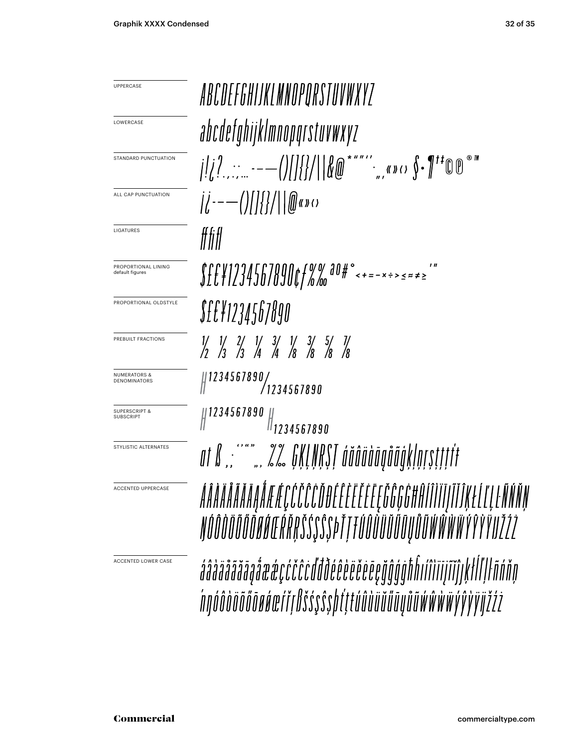UPPERCASE

**LOWERCASE** 

LIGATURES

default figures

**SUBSCRIPT** 

ABCDEFGHIJKLMNOPORSTUVWXYZ abcdefghijklmnopqrstuvwxyz  $\int_{\mathbb{R}} \left( \int_{\mathbb{R}} \left( \frac{1}{2} \right)^{n} \right) \left( \frac{1}{2} \right) \left( \int_{\mathbb{R}} \left( \int_{\mathbb{R}} \left( \frac{1}{2} \right)^{n} \right) \left( \int_{\mathbb{R}} \left( \frac{1}{2} \right)^{n} \right) \left( \int_{\mathbb{R}} \left( \frac{1}{2} \right)^{n} \right) \left( \int_{\mathbb{R}} \left( \frac{1}{2} \right)^{n} \right) \left( \int_{\mathbb{R}} \left( \frac{1}{2} \right)^{n} \right)$ STANDARD PUNCTUATION ALL CAP PUNCTUATION fffiff PROPORTIONAL LINING PROPORTIONAL OLDSTYLE *S££¥1234567890* PREBUILT FRACTIONS  $\begin{array}{ccccc} \frac{1}{7} & \frac{1}{7} & \frac{2}{7} & \frac{1}{4} & \frac{3}{4} & \frac{1}{8} & \frac{3}{8} & \frac{5}{8} & \frac{7}{8} \\ \frac{7}{7} & \frac{7}{3} & \frac{7}{3} & \frac{7}{4} & \frac{7}{4} & \frac{7}{8} & \frac{7}{8} & \frac{7}{8} \end{array}$  $\left.\begin{array}{c} \parallel 1234567890/\parallel 1234567890\end{array}\right.$ NUMERATORS & DENOMINATORS  $1234567890$ SUPERSCRIPT &  $\frac{1}{1234567890}$ STYLISTIC ALTERNATESĂÂĂĂĂĂĂĂĄÂÆÆÇĆČĈĈĎĐÉÊĖĔĔĔĔĘĞĜĢĠĦĤĨĨĬĨŢĨĬĴĶŁĹĽĻĿÑŃŇŅ ACCENTED UPPERCASE ŊŐÔŎÖŐŐŐŌØŐŒŔŘŖŠŚŞŜSÞŤŢŦŰÛÙÜÜŰŰŨŲŮŨŴŴŴŸŶŶŸIJŽŹŻ ACCENTED LOWER CASE áâàäãããāaåææçćčĉcďđðéêèëëëeeğĝģġħĥıíîìiijĩĭĵıkłĺľlŀñńňn ńnóôòöõőōøáœŕřŗßšśşŝşþŕţŧúûùüŭűūyůũẃŵẁẅýŷỳijžźż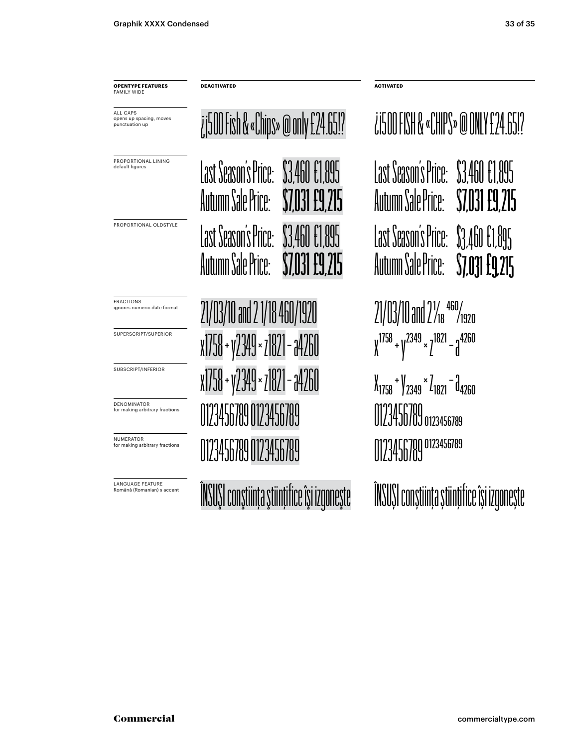**OPENTYPE FEATURES** FAMILY WIDE

ALL CAPS opens up spacing, moves punctuation up

PROPORTIONAL LINING default figures

PROPORTIONAL OLDSTYLE

FRACTIONS ignores numeric date format

SUPERSCRIPT/SUPERIOR

SUBSCRIPT/INFERIOR

DENOMINATOR for making arbitrary fractions

NUMERATOR for making arbitrary fractions

LANGUAGE FEATURE Română (Romanian) s accent Last Season's Price: \$3,460 €1,895 Autumn Sale Price: **\$7,031 £9** ¿¡500 Fish & «Chips» @ only £24.65!? 21/03/10 and 2 1/18 460/1920 21/03/10 and 21/<sup>460</sup>/1920 Last Season's Price: \$3,460 € Autumn Sale Price:

**DEACTIVATED ACTIVATED**

x1758+ y2349 × z1821− a4260 x1758 + y2349 × z1821 − a4260 x1758+ y2349 × z1821− a4260 x1758 + y2349 × z1821 − a4260 0123456789 0123456789 0123456789 0123456789 0123456789 0123456789<br>0123456789 0123456789

ÎNSUŞI conştinţa ştinţifice îşi izgoneşte ÎNSUŞI conştinţa ştinţifice îşi izgoneşte

Last Season's Price: \$3,460 €1,895 Autumn Sale Price: **\$7,031 £9,215** ¿¡500 FISH & «CHIPS» @ ONLY £24.65!? Last Season's Price: \$3,460 €1,895 Autumn Sale Price: **\$7,031 £9,215**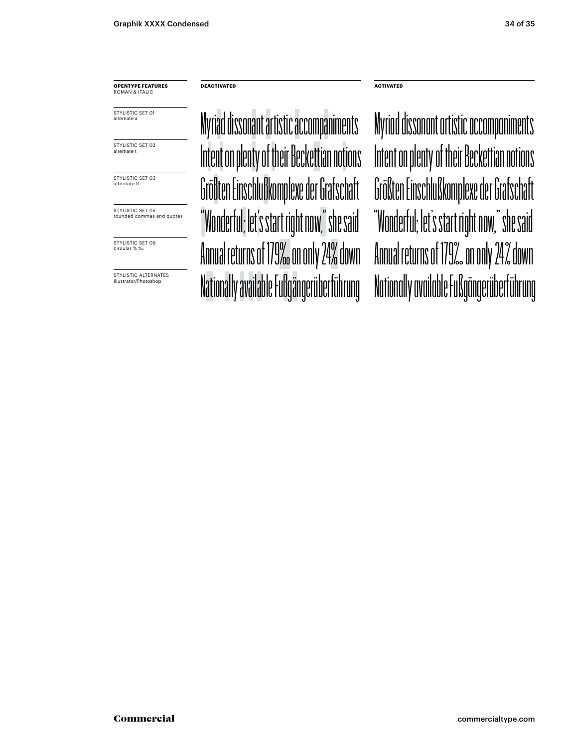**OPENTYPE FEATURES** ROMAN & ITALIC

STYLISTIC SET 01 alternate a

STYLISTIC SET 02 alternate t

STYLISTIC SET 03 alternate ß

STYLISTIC SET 05 rounded commas and quotes

STYLISTIC SET 06 circular % ‰

STYLISTIC ALTERNATES Illustrator/Photoshop

**DEACTIVATED ACTIVATED**

Myriad dissonant artistic accompaniments Intent on plenty of their Beckettian notions Größten Einschlußkomplexe der Grafschaft Größten Einschlußkomplexe der Grafschaft "Wonderful; let's start right now," she said "Wonderful; let's start right now," she said Annual returns of 179‰ on only 24% down Annual returns of 179‰ on only 24% down Nationally available Fußgängerüberführung Nationally available Fußgängerüberführung

Intent on plenty of their Beckettian notions Myriad dissonant artistic accompaniments